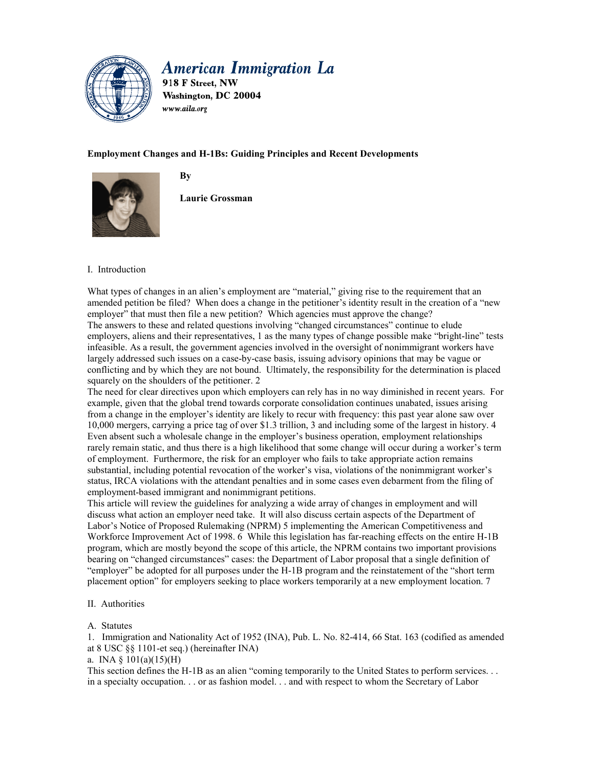

# **American Immigration La**

918 F Street, NW Washington, DC 20004 www.aila.org

# **Employment Changes and H-1Bs: Guiding Principles and Recent Developments**



**By** 

**Laurie Grossman** 

## I. Introduction

What types of changes in an alien's employment are "material," giving rise to the requirement that an amended petition be filed? When does a change in the petitioner's identity result in the creation of a "new employer" that must then file a new petition? Which agencies must approve the change? The answers to these and related questions involving "changed circumstances" continue to elude employers, aliens and their representatives, 1 as the many types of change possible make "bright-line" tests infeasible. As a result, the government agencies involved in the oversight of nonimmigrant workers have largely addressed such issues on a case-by-case basis, issuing advisory opinions that may be vague or conflicting and by which they are not bound. Ultimately, the responsibility for the determination is placed squarely on the shoulders of the petitioner. 2

The need for clear directives upon which employers can rely has in no way diminished in recent years. For example, given that the global trend towards corporate consolidation continues unabated, issues arising from a change in the employer's identity are likely to recur with frequency: this past year alone saw over 10,000 mergers, carrying a price tag of over \$1.3 trillion, 3 and including some of the largest in history. 4 Even absent such a wholesale change in the employer's business operation, employment relationships rarely remain static, and thus there is a high likelihood that some change will occur during a worker's term of employment. Furthermore, the risk for an employer who fails to take appropriate action remains substantial, including potential revocation of the worker's visa, violations of the nonimmigrant worker's status, IRCA violations with the attendant penalties and in some cases even debarment from the filing of employment-based immigrant and nonimmigrant petitions.

This article will review the guidelines for analyzing a wide array of changes in employment and will discuss what action an employer need take. It will also discuss certain aspects of the Department of Labor's Notice of Proposed Rulemaking (NPRM) 5 implementing the American Competitiveness and Workforce Improvement Act of 1998. 6 While this legislation has far-reaching effects on the entire H-1B program, which are mostly beyond the scope of this article, the NPRM contains two important provisions bearing on "changed circumstances" cases: the Department of Labor proposal that a single definition of "employer" be adopted for all purposes under the H-1B program and the reinstatement of the "short term placement option" for employers seeking to place workers temporarily at a new employment location. 7

## II. Authorities

A. Statutes

1. Immigration and Nationality Act of 1952 (INA), Pub. L. No. 82-414, 66 Stat. 163 (codified as amended at 8 USC §§ 1101-et seq.) (hereinafter INA)

a. INA  $\S$  101(a)(15)(H)

This section defines the H-1B as an alien "coming temporarily to the United States to perform services. . . in a specialty occupation. . . or as fashion model. . . and with respect to whom the Secretary of Labor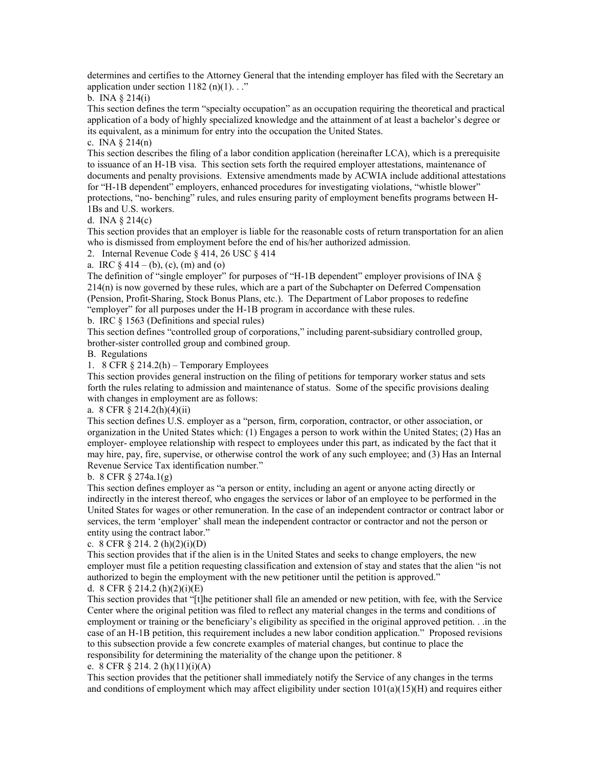determines and certifies to the Attorney General that the intending employer has filed with the Secretary an application under section  $1182$  (n)(1). . ."

b. INA § 214(i)

This section defines the term "specialty occupation" as an occupation requiring the theoretical and practical application of a body of highly specialized knowledge and the attainment of at least a bachelor's degree or its equivalent, as a minimum for entry into the occupation the United States.

c. INA  $\S 214(n)$ 

This section describes the filing of a labor condition application (hereinafter LCA), which is a prerequisite to issuance of an H-1B visa. This section sets forth the required employer attestations, maintenance of documents and penalty provisions. Extensive amendments made by ACWIA include additional attestations for "H-1B dependent" employers, enhanced procedures for investigating violations, "whistle blower" protections, "no- benching" rules, and rules ensuring parity of employment benefits programs between H-

1Bs and U.S. workers.

d. INA § 214(c)

This section provides that an employer is liable for the reasonable costs of return transportation for an alien who is dismissed from employment before the end of his/her authorized admission.

2. Internal Revenue Code § 414, 26 USC § 414

a. IRC  $§$  414 – (b), (c), (m) and (o)

The definition of "single employer" for purposes of "H-1B dependent" employer provisions of INA § 214(n) is now governed by these rules, which are a part of the Subchapter on Deferred Compensation (Pension, Profit-Sharing, Stock Bonus Plans, etc.). The Department of Labor proposes to redefine "employer" for all purposes under the H-1B program in accordance with these rules.

b. IRC § 1563 (Definitions and special rules)

This section defines "controlled group of corporations," including parent-subsidiary controlled group, brother-sister controlled group and combined group.

B. Regulations

1. 8 CFR § 214.2(h) – Temporary Employees

This section provides general instruction on the filing of petitions for temporary worker status and sets forth the rules relating to admission and maintenance of status. Some of the specific provisions dealing with changes in employment are as follows:

a. 8 CFR § 214.2(h)(4)(ii)

This section defines U.S. employer as a "person, firm, corporation, contractor, or other association, or organization in the United States which: (1) Engages a person to work within the United States; (2) Has an employer- employee relationship with respect to employees under this part, as indicated by the fact that it may hire, pay, fire, supervise, or otherwise control the work of any such employee; and (3) Has an Internal Revenue Service Tax identification number."

b. 8 CFR  $\S 274a.1(g)$ 

This section defines employer as "a person or entity, including an agent or anyone acting directly or indirectly in the interest thereof, who engages the services or labor of an employee to be performed in the United States for wages or other remuneration. In the case of an independent contractor or contract labor or services, the term 'employer' shall mean the independent contractor or contractor and not the person or entity using the contract labor."

## c. 8 CFR  $\S 214.2(h)(2)(i)(D)$

This section provides that if the alien is in the United States and seeks to change employers, the new employer must file a petition requesting classification and extension of stay and states that the alien "is not authorized to begin the employment with the new petitioner until the petition is approved."

d. 8 CFR  $\S 214.2$  (h)(2)(i)(E)

This section provides that "[t]he petitioner shall file an amended or new petition, with fee, with the Service Center where the original petition was filed to reflect any material changes in the terms and conditions of employment or training or the beneficiary's eligibility as specified in the original approved petition. . .in the case of an H-1B petition, this requirement includes a new labor condition application." Proposed revisions to this subsection provide a few concrete examples of material changes, but continue to place the responsibility for determining the materiality of the change upon the petitioner. 8

## e. 8 CFR § 214. 2 (h)(11)(i)(A)

This section provides that the petitioner shall immediately notify the Service of any changes in the terms and conditions of employment which may affect eligibility under section  $101(a)(15)(H)$  and requires either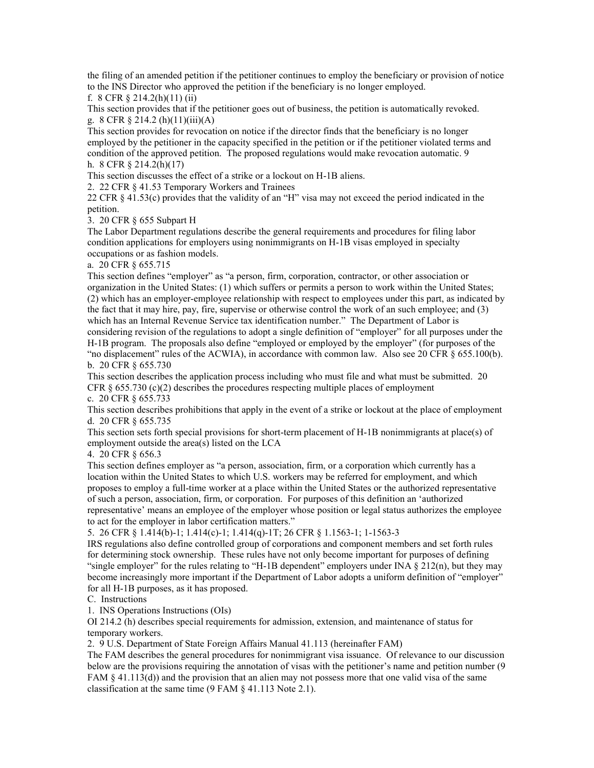the filing of an amended petition if the petitioner continues to employ the beneficiary or provision of notice to the INS Director who approved the petition if the beneficiary is no longer employed.

f. 8 CFR  $\S 214.2(h)(11)(ii)$ 

This section provides that if the petitioner goes out of business, the petition is automatically revoked. g. 8 CFR § 214.2 (h)(11)(iii)(A)

This section provides for revocation on notice if the director finds that the beneficiary is no longer employed by the petitioner in the capacity specified in the petition or if the petitioner violated terms and condition of the approved petition. The proposed regulations would make revocation automatic. 9 h. 8 CFR § 214.2(h)(17)

This section discusses the effect of a strike or a lockout on H-1B aliens.

2. 22 CFR § 41.53 Temporary Workers and Trainees

22 CFR § 41.53(c) provides that the validity of an "H" visa may not exceed the period indicated in the petition.

3. 20 CFR § 655 Subpart H

The Labor Department regulations describe the general requirements and procedures for filing labor condition applications for employers using nonimmigrants on H-1B visas employed in specialty occupations or as fashion models.

a. 20 CFR § 655.715

This section defines "employer" as "a person, firm, corporation, contractor, or other association or organization in the United States: (1) which suffers or permits a person to work within the United States; (2) which has an employer-employee relationship with respect to employees under this part, as indicated by the fact that it may hire, pay, fire, supervise or otherwise control the work of an such employee; and (3) which has an Internal Revenue Service tax identification number." The Department of Labor is considering revision of the regulations to adopt a single definition of "employer" for all purposes under the H-1B program. The proposals also define "employed or employed by the employer" (for purposes of the "no displacement" rules of the ACWIA), in accordance with common law. Also see 20 CFR § 655.100(b). b. 20 CFR § 655.730

This section describes the application process including who must file and what must be submitted. 20 CFR  $\S$  655.730 (c)(2) describes the procedures respecting multiple places of employment

c. 20 CFR § 655.733

This section describes prohibitions that apply in the event of a strike or lockout at the place of employment d. 20 CFR § 655.735

This section sets forth special provisions for short-term placement of H-1B nonimmigrants at place(s) of employment outside the area(s) listed on the LCA

4. 20 CFR § 656.3

This section defines employer as "a person, association, firm, or a corporation which currently has a location within the United States to which U.S. workers may be referred for employment, and which proposes to employ a full-time worker at a place within the United States or the authorized representative of such a person, association, firm, or corporation. For purposes of this definition an 'authorized representative' means an employee of the employer whose position or legal status authorizes the employee to act for the employer in labor certification matters."

5. 26 CFR § 1.414(b)-1; 1.414(c)-1; 1.414(q)-1T; 26 CFR § 1.1563-1; 1-1563-3

IRS regulations also define controlled group of corporations and component members and set forth rules for determining stock ownership. These rules have not only become important for purposes of defining "single employer" for the rules relating to "H-1B dependent" employers under INA § 212(n), but they may become increasingly more important if the Department of Labor adopts a uniform definition of "employer" for all H-1B purposes, as it has proposed.

C. Instructions

1. INS Operations Instructions (OIs)

OI 214.2 (h) describes special requirements for admission, extension, and maintenance of status for temporary workers.

2. 9 U.S. Department of State Foreign Affairs Manual 41.113 (hereinafter FAM)

The FAM describes the general procedures for nonimmigrant visa issuance. Of relevance to our discussion below are the provisions requiring the annotation of visas with the petitioner's name and petition number (9 FAM § 41.113(d)) and the provision that an alien may not possess more that one valid visa of the same classification at the same time (9 FAM § 41.113 Note 2.1).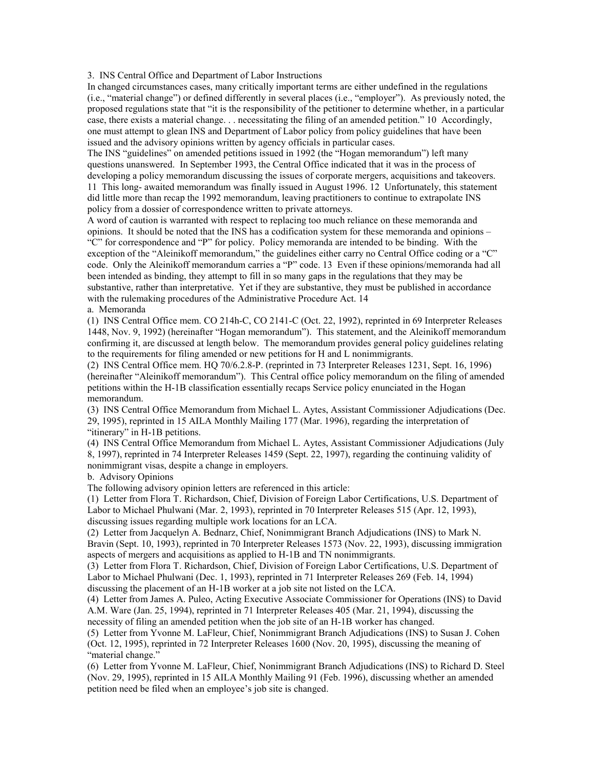3. INS Central Office and Department of Labor Instructions

In changed circumstances cases, many critically important terms are either undefined in the regulations (i.e., "material change") or defined differently in several places (i.e., "employer"). As previously noted, the proposed regulations state that "it is the responsibility of the petitioner to determine whether, in a particular case, there exists a material change. . . necessitating the filing of an amended petition." 10 Accordingly, one must attempt to glean INS and Department of Labor policy from policy guidelines that have been issued and the advisory opinions written by agency officials in particular cases.

The INS "guidelines" on amended petitions issued in 1992 (the "Hogan memorandum") left many questions unanswered. In September 1993, the Central Office indicated that it was in the process of developing a policy memorandum discussing the issues of corporate mergers, acquisitions and takeovers. 11 This long- awaited memorandum was finally issued in August 1996. 12 Unfortunately, this statement did little more than recap the 1992 memorandum, leaving practitioners to continue to extrapolate INS policy from a dossier of correspondence written to private attorneys.

A word of caution is warranted with respect to replacing too much reliance on these memoranda and opinions. It should be noted that the INS has a codification system for these memoranda and opinions – "C" for correspondence and "P" for policy. Policy memoranda are intended to be binding. With the exception of the "Aleinikoff memorandum," the guidelines either carry no Central Office coding or a "C" code. Only the Aleinikoff memorandum carries a "P" code. 13 Even if these opinions/memoranda had all been intended as binding, they attempt to fill in so many gaps in the regulations that they may be substantive, rather than interpretative. Yet if they are substantive, they must be published in accordance with the rulemaking procedures of the Administrative Procedure Act. 14

#### a. Memoranda

(1) INS Central Office mem. CO 214h-C, CO 2141-C (Oct. 22, 1992), reprinted in 69 Interpreter Releases 1448, Nov. 9, 1992) (hereinafter "Hogan memorandum"). This statement, and the Aleinikoff memorandum confirming it, are discussed at length below. The memorandum provides general policy guidelines relating to the requirements for filing amended or new petitions for H and L nonimmigrants.

(2) INS Central Office mem. HQ 70/6.2.8-P. (reprinted in 73 Interpreter Releases 1231, Sept. 16, 1996) (hereinafter "Aleinikoff memorandum"). This Central office policy memorandum on the filing of amended petitions within the H-1B classification essentially recaps Service policy enunciated in the Hogan memorandum.

(3) INS Central Office Memorandum from Michael L. Aytes, Assistant Commissioner Adjudications (Dec. 29, 1995), reprinted in 15 AILA Monthly Mailing 177 (Mar. 1996), regarding the interpretation of "itinerary" in H-1B petitions.

(4) INS Central Office Memorandum from Michael L. Aytes, Assistant Commissioner Adjudications (July 8, 1997), reprinted in 74 Interpreter Releases 1459 (Sept. 22, 1997), regarding the continuing validity of nonimmigrant visas, despite a change in employers.

b. Advisory Opinions

The following advisory opinion letters are referenced in this article:

(1) Letter from Flora T. Richardson, Chief, Division of Foreign Labor Certifications, U.S. Department of Labor to Michael Phulwani (Mar. 2, 1993), reprinted in 70 Interpreter Releases 515 (Apr. 12, 1993), discussing issues regarding multiple work locations for an LCA.

(2) Letter from Jacquelyn A. Bednarz, Chief, Nonimmigrant Branch Adjudications (INS) to Mark N. Bravin (Sept. 10, 1993), reprinted in 70 Interpreter Releases 1573 (Nov. 22, 1993), discussing immigration aspects of mergers and acquisitions as applied to H-1B and TN nonimmigrants.

(3) Letter from Flora T. Richardson, Chief, Division of Foreign Labor Certifications, U.S. Department of Labor to Michael Phulwani (Dec. 1, 1993), reprinted in 71 Interpreter Releases 269 (Feb. 14, 1994) discussing the placement of an H-1B worker at a job site not listed on the LCA.

(4) Letter from James A. Puleo, Acting Executive Associate Commissioner for Operations (INS) to David A.M. Ware (Jan. 25, 1994), reprinted in 71 Interpreter Releases 405 (Mar. 21, 1994), discussing the necessity of filing an amended petition when the job site of an H-1B worker has changed.

(5) Letter from Yvonne M. LaFleur, Chief, Nonimmigrant Branch Adjudications (INS) to Susan J. Cohen (Oct. 12, 1995), reprinted in 72 Interpreter Releases 1600 (Nov. 20, 1995), discussing the meaning of "material change."

(6) Letter from Yvonne M. LaFleur, Chief, Nonimmigrant Branch Adjudications (INS) to Richard D. Steel (Nov. 29, 1995), reprinted in 15 AILA Monthly Mailing 91 (Feb. 1996), discussing whether an amended petition need be filed when an employee's job site is changed.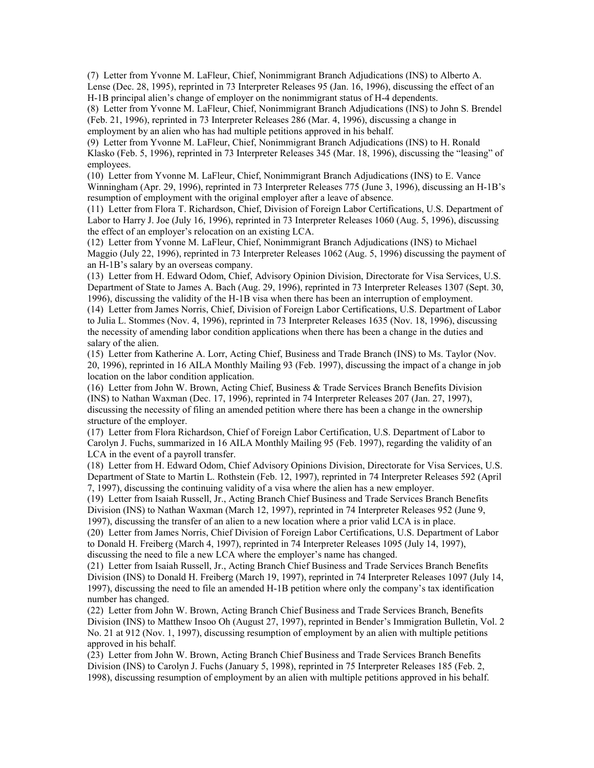(7) Letter from Yvonne M. LaFleur, Chief, Nonimmigrant Branch Adjudications (INS) to Alberto A. Lense (Dec. 28, 1995), reprinted in 73 Interpreter Releases 95 (Jan. 16, 1996), discussing the effect of an H-1B principal alien's change of employer on the nonimmigrant status of H-4 dependents.

(8) Letter from Yvonne M. LaFleur, Chief, Nonimmigrant Branch Adjudications (INS) to John S. Brendel (Feb. 21, 1996), reprinted in 73 Interpreter Releases 286 (Mar. 4, 1996), discussing a change in employment by an alien who has had multiple petitions approved in his behalf.

(9) Letter from Yvonne M. LaFleur, Chief, Nonimmigrant Branch Adjudications (INS) to H. Ronald Klasko (Feb. 5, 1996), reprinted in 73 Interpreter Releases 345 (Mar. 18, 1996), discussing the "leasing" of employees.

(10) Letter from Yvonne M. LaFleur, Chief, Nonimmigrant Branch Adjudications (INS) to E. Vance Winningham (Apr. 29, 1996), reprinted in 73 Interpreter Releases 775 (June 3, 1996), discussing an H-1B's resumption of employment with the original employer after a leave of absence.

(11) Letter from Flora T. Richardson, Chief, Division of Foreign Labor Certifications, U.S. Department of Labor to Harry J. Joe (July 16, 1996), reprinted in 73 Interpreter Releases 1060 (Aug. 5, 1996), discussing the effect of an employer's relocation on an existing LCA.

(12) Letter from Yvonne M. LaFleur, Chief, Nonimmigrant Branch Adjudications (INS) to Michael Maggio (July 22, 1996), reprinted in 73 Interpreter Releases 1062 (Aug. 5, 1996) discussing the payment of an H-1B's salary by an overseas company.

(13) Letter from H. Edward Odom, Chief, Advisory Opinion Division, Directorate for Visa Services, U.S. Department of State to James A. Bach (Aug. 29, 1996), reprinted in 73 Interpreter Releases 1307 (Sept. 30, 1996), discussing the validity of the H-1B visa when there has been an interruption of employment.

(14) Letter from James Norris, Chief, Division of Foreign Labor Certifications, U.S. Department of Labor to Julia L. Stommes (Nov. 4, 1996), reprinted in 73 Interpreter Releases 1635 (Nov. 18, 1996), discussing the necessity of amending labor condition applications when there has been a change in the duties and salary of the alien.

(15) Letter from Katherine A. Lorr, Acting Chief, Business and Trade Branch (INS) to Ms. Taylor (Nov. 20, 1996), reprinted in 16 AILA Monthly Mailing 93 (Feb. 1997), discussing the impact of a change in job location on the labor condition application.

(16) Letter from John W. Brown, Acting Chief, Business & Trade Services Branch Benefits Division (INS) to Nathan Waxman (Dec. 17, 1996), reprinted in 74 Interpreter Releases 207 (Jan. 27, 1997), discussing the necessity of filing an amended petition where there has been a change in the ownership structure of the employer.

(17) Letter from Flora Richardson, Chief of Foreign Labor Certification, U.S. Department of Labor to Carolyn J. Fuchs, summarized in 16 AILA Monthly Mailing 95 (Feb. 1997), regarding the validity of an LCA in the event of a payroll transfer.

(18) Letter from H. Edward Odom, Chief Advisory Opinions Division, Directorate for Visa Services, U.S. Department of State to Martin L. Rothstein (Feb. 12, 1997), reprinted in 74 Interpreter Releases 592 (April 7, 1997), discussing the continuing validity of a visa where the alien has a new employer.

(19) Letter from Isaiah Russell, Jr., Acting Branch Chief Business and Trade Services Branch Benefits Division (INS) to Nathan Waxman (March 12, 1997), reprinted in 74 Interpreter Releases 952 (June 9, 1997), discussing the transfer of an alien to a new location where a prior valid LCA is in place.

(20) Letter from James Norris, Chief Division of Foreign Labor Certifications, U.S. Department of Labor to Donald H. Freiberg (March 4, 1997), reprinted in 74 Interpreter Releases 1095 (July 14, 1997), discussing the need to file a new LCA where the employer's name has changed.

(21) Letter from Isaiah Russell, Jr., Acting Branch Chief Business and Trade Services Branch Benefits Division (INS) to Donald H. Freiberg (March 19, 1997), reprinted in 74 Interpreter Releases 1097 (July 14, 1997), discussing the need to file an amended H-1B petition where only the company's tax identification number has changed.

(22) Letter from John W. Brown, Acting Branch Chief Business and Trade Services Branch, Benefits Division (INS) to Matthew Insoo Oh (August 27, 1997), reprinted in Bender's Immigration Bulletin, Vol. 2 No. 21 at 912 (Nov. 1, 1997), discussing resumption of employment by an alien with multiple petitions approved in his behalf.

(23) Letter from John W. Brown, Acting Branch Chief Business and Trade Services Branch Benefits Division (INS) to Carolyn J. Fuchs (January 5, 1998), reprinted in 75 Interpreter Releases 185 (Feb. 2, 1998), discussing resumption of employment by an alien with multiple petitions approved in his behalf.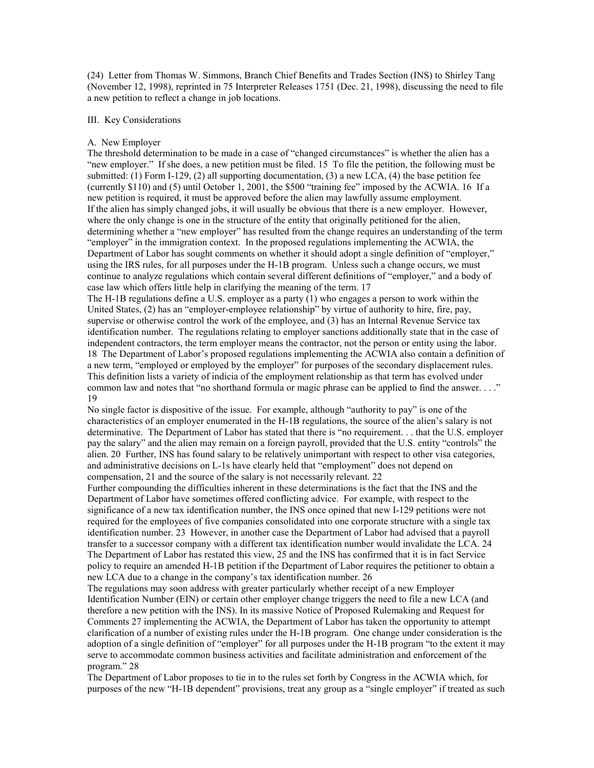(24) Letter from Thomas W. Simmons, Branch Chief Benefits and Trades Section (INS) to Shirley Tang (November 12, 1998), reprinted in 75 Interpreter Releases 1751 (Dec. 21, 1998), discussing the need to file a new petition to reflect a change in job locations.

#### III. Key Considerations

#### A. New Employer

The threshold determination to be made in a case of "changed circumstances" is whether the alien has a "new employer." If she does, a new petition must be filed. 15 To file the petition, the following must be submitted: (1) Form I-129, (2) all supporting documentation, (3) a new LCA, (4) the base petition fee (currently \$110) and (5) until October 1, 2001, the \$500 "training fee" imposed by the ACWIA. 16 If a new petition is required, it must be approved before the alien may lawfully assume employment. If the alien has simply changed jobs, it will usually be obvious that there is a new employer. However, where the only change is one in the structure of the entity that originally petitioned for the alien, determining whether a "new employer" has resulted from the change requires an understanding of the term "employer" in the immigration context. In the proposed regulations implementing the ACWIA, the Department of Labor has sought comments on whether it should adopt a single definition of "employer," using the IRS rules, for all purposes under the H-1B program. Unless such a change occurs, we must continue to analyze regulations which contain several different definitions of "employer," and a body of case law which offers little help in clarifying the meaning of the term. 17

The H-1B regulations define a U.S. employer as a party  $(1)$  who engages a person to work within the United States, (2) has an "employer-employee relationship" by virtue of authority to hire, fire, pay, supervise or otherwise control the work of the employee, and (3) has an Internal Revenue Service tax identification number. The regulations relating to employer sanctions additionally state that in the case of independent contractors, the term employer means the contractor, not the person or entity using the labor. 18 The Department of Labor's proposed regulations implementing the ACWIA also contain a definition of a new term, "employed or employed by the employer" for purposes of the secondary displacement rules. This definition lists a variety of indicia of the employment relationship as that term has evolved under common law and notes that "no shorthand formula or magic phrase can be applied to find the answer. . . ." 19

No single factor is dispositive of the issue. For example, although "authority to pay" is one of the characteristics of an employer enumerated in the H-1B regulations, the source of the alien's salary is not determinative. The Department of Labor has stated that there is "no requirement. . . that the U.S. employer pay the salary" and the alien may remain on a foreign payroll, provided that the U.S. entity "controls" the alien. 20 Further, INS has found salary to be relatively unimportant with respect to other visa categories, and administrative decisions on L-1s have clearly held that "employment" does not depend on compensation, 21 and the source of the salary is not necessarily relevant. 22

Further compounding the difficulties inherent in these determinations is the fact that the INS and the Department of Labor have sometimes offered conflicting advice. For example, with respect to the significance of a new tax identification number, the INS once opined that new I-129 petitions were not required for the employees of five companies consolidated into one corporate structure with a single tax identification number. 23 However, in another case the Department of Labor had advised that a payroll transfer to a successor company with a different tax identification number would invalidate the LCA. 24 The Department of Labor has restated this view, 25 and the INS has confirmed that it is in fact Service policy to require an amended H-1B petition if the Department of Labor requires the petitioner to obtain a new LCA due to a change in the company's tax identification number. 26

The regulations may soon address with greater particularly whether receipt of a new Employer Identification Number (EIN) or certain other employer change triggers the need to file a new LCA (and therefore a new petition with the INS). In its massive Notice of Proposed Rulemaking and Request for Comments 27 implementing the ACWIA, the Department of Labor has taken the opportunity to attempt clarification of a number of existing rules under the H-1B program. One change under consideration is the adoption of a single definition of "employer" for all purposes under the H-1B program "to the extent it may serve to accommodate common business activities and facilitate administration and enforcement of the program." 28

The Department of Labor proposes to tie in to the rules set forth by Congress in the ACWIA which, for purposes of the new "H-1B dependent" provisions, treat any group as a "single employer" if treated as such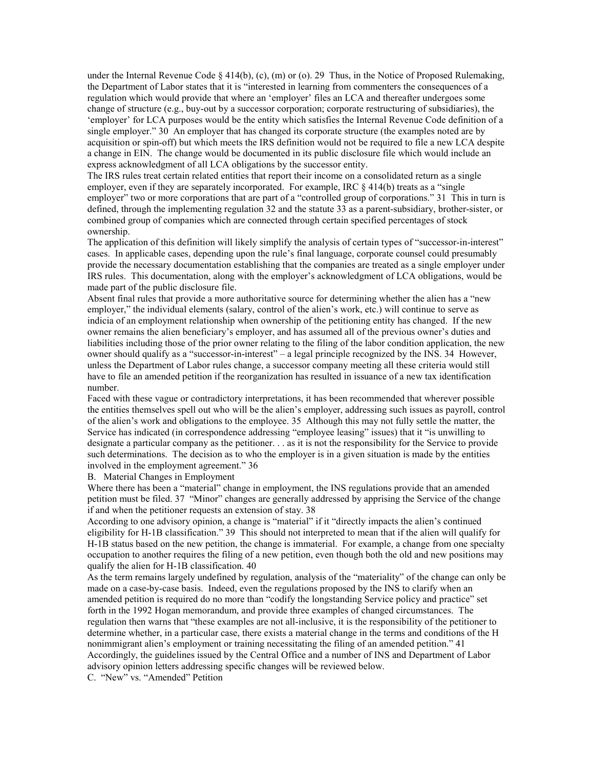under the Internal Revenue Code § 414(b), (c), (m) or (o). 29 Thus, in the Notice of Proposed Rulemaking, the Department of Labor states that it is "interested in learning from commenters the consequences of a regulation which would provide that where an 'employer' files an LCA and thereafter undergoes some change of structure (e.g., buy-out by a successor corporation; corporate restructuring of subsidiaries), the 'employer' for LCA purposes would be the entity which satisfies the Internal Revenue Code definition of a single employer." 30 An employer that has changed its corporate structure (the examples noted are by acquisition or spin-off) but which meets the IRS definition would not be required to file a new LCA despite a change in EIN. The change would be documented in its public disclosure file which would include an express acknowledgment of all LCA obligations by the successor entity.

The IRS rules treat certain related entities that report their income on a consolidated return as a single employer, even if they are separately incorporated. For example, IRC  $\&$  414(b) treats as a "single employer" two or more corporations that are part of a "controlled group of corporations." 31 This in turn is defined, through the implementing regulation 32 and the statute 33 as a parent-subsidiary, brother-sister, or combined group of companies which are connected through certain specified percentages of stock ownership.

The application of this definition will likely simplify the analysis of certain types of "successor-in-interest" cases. In applicable cases, depending upon the rule's final language, corporate counsel could presumably provide the necessary documentation establishing that the companies are treated as a single employer under IRS rules. This documentation, along with the employer's acknowledgment of LCA obligations, would be made part of the public disclosure file.

Absent final rules that provide a more authoritative source for determining whether the alien has a "new employer," the individual elements (salary, control of the alien's work, etc.) will continue to serve as indicia of an employment relationship when ownership of the petitioning entity has changed. If the new owner remains the alien beneficiary's employer, and has assumed all of the previous owner's duties and liabilities including those of the prior owner relating to the filing of the labor condition application, the new owner should qualify as a "successor-in-interest" – a legal principle recognized by the INS. 34 However, unless the Department of Labor rules change, a successor company meeting all these criteria would still have to file an amended petition if the reorganization has resulted in issuance of a new tax identification number.

Faced with these vague or contradictory interpretations, it has been recommended that wherever possible the entities themselves spell out who will be the alien's employer, addressing such issues as payroll, control of the alien's work and obligations to the employee. 35 Although this may not fully settle the matter, the Service has indicated (in correspondence addressing "employee leasing" issues) that it "is unwilling to designate a particular company as the petitioner. . . as it is not the responsibility for the Service to provide such determinations. The decision as to who the employer is in a given situation is made by the entities involved in the employment agreement." 36

B. Material Changes in Employment

Where there has been a "material" change in employment, the INS regulations provide that an amended petition must be filed. 37 "Minor" changes are generally addressed by apprising the Service of the change if and when the petitioner requests an extension of stay. 38

According to one advisory opinion, a change is "material" if it "directly impacts the alien's continued eligibility for H-1B classification." 39 This should not interpreted to mean that if the alien will qualify for H-1B status based on the new petition, the change is immaterial. For example, a change from one specialty occupation to another requires the filing of a new petition, even though both the old and new positions may qualify the alien for H-1B classification. 40

As the term remains largely undefined by regulation, analysis of the "materiality" of the change can only be made on a case-by-case basis. Indeed, even the regulations proposed by the INS to clarify when an amended petition is required do no more than "codify the longstanding Service policy and practice" set forth in the 1992 Hogan memorandum, and provide three examples of changed circumstances. The regulation then warns that "these examples are not all-inclusive, it is the responsibility of the petitioner to determine whether, in a particular case, there exists a material change in the terms and conditions of the H nonimmigrant alien's employment or training necessitating the filing of an amended petition." 41 Accordingly, the guidelines issued by the Central Office and a number of INS and Department of Labor advisory opinion letters addressing specific changes will be reviewed below.

C. "New" vs. "Amended" Petition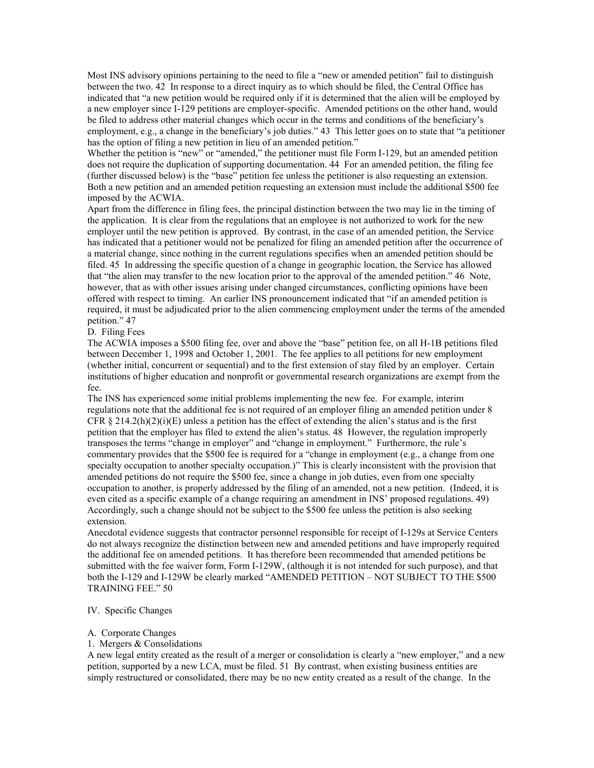Most INS advisory opinions pertaining to the need to file a "new or amended petition" fail to distinguish between the two. 42 In response to a direct inquiry as to which should be filed, the Central Office has indicated that "a new petition would be required only if it is determined that the alien will be employed by a new employer since I-129 petitions are employer-specific. Amended petitions on the other hand, would be filed to address other material changes which occur in the terms and conditions of the beneficiary's employment, e.g., a change in the beneficiary's job duties." 43 This letter goes on to state that "a petitioner has the option of filing a new petition in lieu of an amended petition."

Whether the petition is "new" or "amended," the petitioner must file Form I-129, but an amended petition does not require the duplication of supporting documentation. 44 For an amended petition, the filing fee (further discussed below) is the "base" petition fee unless the petitioner is also requesting an extension. Both a new petition and an amended petition requesting an extension must include the additional \$500 fee imposed by the ACWIA.

Apart from the difference in filing fees, the principal distinction between the two may lie in the timing of the application. It is clear from the regulations that an employee is not authorized to work for the new employer until the new petition is approved. By contrast, in the case of an amended petition, the Service has indicated that a petitioner would not be penalized for filing an amended petition after the occurrence of a material change, since nothing in the current regulations specifies when an amended petition should be filed. 45 In addressing the specific question of a change in geographic location, the Service has allowed that "the alien may transfer to the new location prior to the approval of the amended petition." 46 Note, however, that as with other issues arising under changed circumstances, conflicting opinions have been offered with respect to timing. An earlier INS pronouncement indicated that "if an amended petition is required, it must be adjudicated prior to the alien commencing employment under the terms of the amended petition." 47

# D. Filing Fees

The ACWIA imposes a \$500 filing fee, over and above the "base" petition fee, on all H-1B petitions filed between December 1, 1998 and October 1, 2001. The fee applies to all petitions for new employment (whether initial, concurrent or sequential) and to the first extension of stay filed by an employer. Certain institutions of higher education and nonprofit or governmental research organizations are exempt from the fee.

The INS has experienced some initial problems implementing the new fee. For example, interim regulations note that the additional fee is not required of an employer filing an amended petition under 8 CFR  $\S 214.2(h)(2)(i)(E)$  unless a petition has the effect of extending the alien's status and is the first petition that the employer has filed to extend the alien's status. 48 However, the regulation improperly transposes the terms "change in employer" and "change in employment." Furthermore, the rule's commentary provides that the \$500 fee is required for a "change in employment (e.g., a change from one specialty occupation to another specialty occupation.)" This is clearly inconsistent with the provision that amended petitions do not require the \$500 fee, since a change in job duties, even from one specialty occupation to another, is properly addressed by the filing of an amended, not a new petition. (Indeed, it is even cited as a specific example of a change requiring an amendment in INS' proposed regulations. 49) Accordingly, such a change should not be subject to the \$500 fee unless the petition is also seeking extension.

Anecdotal evidence suggests that contractor personnel responsible for receipt of I-129s at Service Centers do not always recognize the distinction between new and amended petitions and have improperly required the additional fee on amended petitions. It has therefore been recommended that amended petitions be submitted with the fee waiver form, Form I-129W, (although it is not intended for such purpose), and that both the I-129 and I-129W be clearly marked "AMENDED PETITION – NOT SUBJECT TO THE \$500 TRAINING FEE." 50

#### IV. Specific Changes

#### A. Corporate Changes

#### 1. Mergers & Consolidations

A new legal entity created as the result of a merger or consolidation is clearly a "new employer," and a new petition, supported by a new LCA, must be filed. 51 By contrast, when existing business entities are simply restructured or consolidated, there may be no new entity created as a result of the change. In the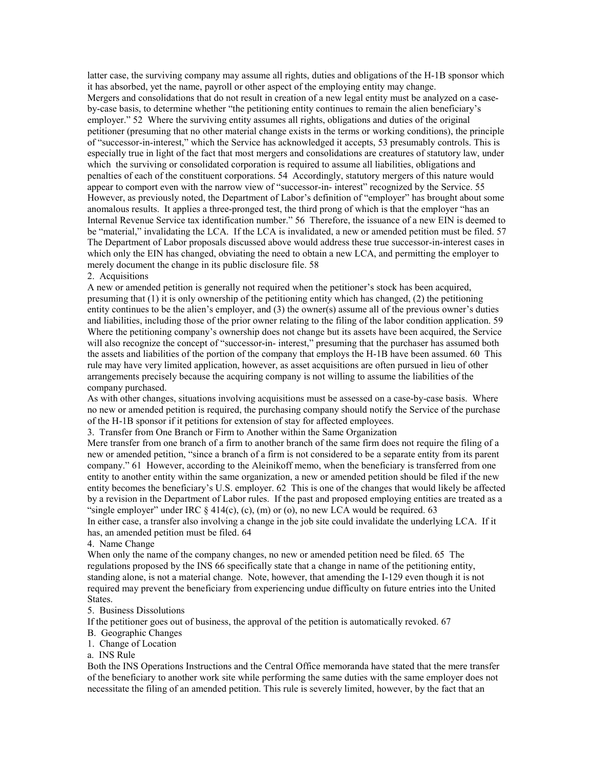latter case, the surviving company may assume all rights, duties and obligations of the H-1B sponsor which it has absorbed, yet the name, payroll or other aspect of the employing entity may change. Mergers and consolidations that do not result in creation of a new legal entity must be analyzed on a caseby-case basis, to determine whether "the petitioning entity continues to remain the alien beneficiary's employer." 52 Where the surviving entity assumes all rights, obligations and duties of the original petitioner (presuming that no other material change exists in the terms or working conditions), the principle of "successor-in-interest," which the Service has acknowledged it accepts, 53 presumably controls. This is especially true in light of the fact that most mergers and consolidations are creatures of statutory law, under which the surviving or consolidated corporation is required to assume all liabilities, obligations and penalties of each of the constituent corporations. 54 Accordingly, statutory mergers of this nature would appear to comport even with the narrow view of "successor-in- interest" recognized by the Service. 55 However, as previously noted, the Department of Labor's definition of "employer" has brought about some anomalous results. It applies a three-pronged test, the third prong of which is that the employer "has an Internal Revenue Service tax identification number." 56 Therefore, the issuance of a new EIN is deemed to be "material," invalidating the LCA. If the LCA is invalidated, a new or amended petition must be filed. 57 The Department of Labor proposals discussed above would address these true successor-in-interest cases in which only the EIN has changed, obviating the need to obtain a new LCA, and permitting the employer to merely document the change in its public disclosure file. 58

2. Acquisitions

A new or amended petition is generally not required when the petitioner's stock has been acquired, presuming that (1) it is only ownership of the petitioning entity which has changed, (2) the petitioning entity continues to be the alien's employer, and (3) the owner(s) assume all of the previous owner's duties and liabilities, including those of the prior owner relating to the filing of the labor condition application. 59 Where the petitioning company's ownership does not change but its assets have been acquired, the Service will also recognize the concept of "successor-in- interest," presuming that the purchaser has assumed both the assets and liabilities of the portion of the company that employs the H-1B have been assumed. 60 This rule may have very limited application, however, as asset acquisitions are often pursued in lieu of other arrangements precisely because the acquiring company is not willing to assume the liabilities of the company purchased.

As with other changes, situations involving acquisitions must be assessed on a case-by-case basis. Where no new or amended petition is required, the purchasing company should notify the Service of the purchase of the H-1B sponsor if it petitions for extension of stay for affected employees.

3. Transfer from One Branch or Firm to Another within the Same Organization

Mere transfer from one branch of a firm to another branch of the same firm does not require the filing of a new or amended petition, "since a branch of a firm is not considered to be a separate entity from its parent company." 61 However, according to the Aleinikoff memo, when the beneficiary is transferred from one entity to another entity within the same organization, a new or amended petition should be filed if the new entity becomes the beneficiary's U.S. employer. 62 This is one of the changes that would likely be affected by a revision in the Department of Labor rules. If the past and proposed employing entities are treated as a "single employer" under IRC  $\S 414(c)$ , (c), (m) or (o), no new LCA would be required. 63

In either case, a transfer also involving a change in the job site could invalidate the underlying LCA. If it has, an amended petition must be filed. 64

# 4. Name Change

When only the name of the company changes, no new or amended petition need be filed. 65 The regulations proposed by the INS 66 specifically state that a change in name of the petitioning entity, standing alone, is not a material change. Note, however, that amending the I-129 even though it is not required may prevent the beneficiary from experiencing undue difficulty on future entries into the United States.

#### 5. Business Dissolutions

If the petitioner goes out of business, the approval of the petition is automatically revoked. 67

#### B. Geographic Changes

1. Change of Location

#### a. INS Rule

Both the INS Operations Instructions and the Central Office memoranda have stated that the mere transfer of the beneficiary to another work site while performing the same duties with the same employer does not necessitate the filing of an amended petition. This rule is severely limited, however, by the fact that an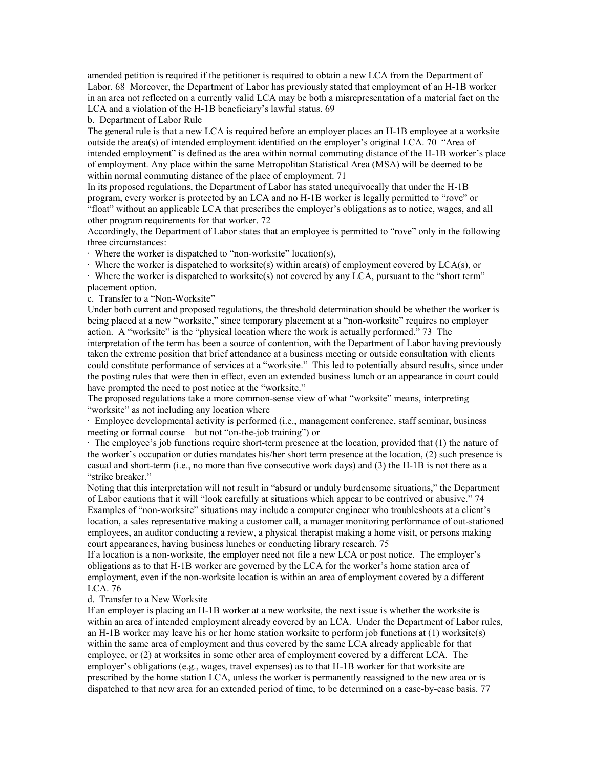amended petition is required if the petitioner is required to obtain a new LCA from the Department of Labor. 68 Moreover, the Department of Labor has previously stated that employment of an H-1B worker in an area not reflected on a currently valid LCA may be both a misrepresentation of a material fact on the LCA and a violation of the H-1B beneficiary's lawful status. 69

b. Department of Labor Rule

The general rule is that a new LCA is required before an employer places an H-1B employee at a worksite outside the area(s) of intended employment identified on the employer's original LCA. 70 "Area of intended employment" is defined as the area within normal commuting distance of the H-1B worker's place of employment. Any place within the same Metropolitan Statistical Area (MSA) will be deemed to be within normal commuting distance of the place of employment. 71

In its proposed regulations, the Department of Labor has stated unequivocally that under the H-1B program, every worker is protected by an LCA and no H-1B worker is legally permitted to "rove" or "float" without an applicable LCA that prescribes the employer's obligations as to notice, wages, and all other program requirements for that worker. 72

Accordingly, the Department of Labor states that an employee is permitted to "rove" only in the following three circumstances:

· Where the worker is dispatched to "non-worksite" location(s),

 $\cdot$  Where the worker is dispatched to worksite(s) within area(s) of employment covered by LCA(s), or

· Where the worker is dispatched to worksite(s) not covered by any LCA, pursuant to the "short term" placement option.

c. Transfer to a "Non-Worksite"

Under both current and proposed regulations, the threshold determination should be whether the worker is being placed at a new "worksite," since temporary placement at a "non-worksite" requires no employer action. A "worksite" is the "physical location where the work is actually performed." 73 The interpretation of the term has been a source of contention, with the Department of Labor having previously taken the extreme position that brief attendance at a business meeting or outside consultation with clients could constitute performance of services at a "worksite." This led to potentially absurd results, since under the posting rules that were then in effect, even an extended business lunch or an appearance in court could have prompted the need to post notice at the "worksite."

The proposed regulations take a more common-sense view of what "worksite" means, interpreting "worksite" as not including any location where

· Employee developmental activity is performed (i.e., management conference, staff seminar, business meeting or formal course – but not "on-the-job training") or

· The employee's job functions require short-term presence at the location, provided that (1) the nature of the worker's occupation or duties mandates his/her short term presence at the location, (2) such presence is casual and short-term (i.e., no more than five consecutive work days) and (3) the H-1B is not there as a "strike breaker."

Noting that this interpretation will not result in "absurd or unduly burdensome situations," the Department of Labor cautions that it will "look carefully at situations which appear to be contrived or abusive." 74 Examples of "non-worksite" situations may include a computer engineer who troubleshoots at a client's location, a sales representative making a customer call, a manager monitoring performance of out-stationed employees, an auditor conducting a review, a physical therapist making a home visit, or persons making court appearances, having business lunches or conducting library research. 75

If a location is a non-worksite, the employer need not file a new LCA or post notice. The employer's obligations as to that H-1B worker are governed by the LCA for the worker's home station area of employment, even if the non-worksite location is within an area of employment covered by a different LCA. 76

## d. Transfer to a New Worksite

If an employer is placing an H-1B worker at a new worksite, the next issue is whether the worksite is within an area of intended employment already covered by an LCA. Under the Department of Labor rules, an H-1B worker may leave his or her home station worksite to perform job functions at (1) worksite(s) within the same area of employment and thus covered by the same LCA already applicable for that employee, or (2) at worksites in some other area of employment covered by a different LCA. The employer's obligations (e.g., wages, travel expenses) as to that H-1B worker for that worksite are prescribed by the home station LCA, unless the worker is permanently reassigned to the new area or is dispatched to that new area for an extended period of time, to be determined on a case-by-case basis. 77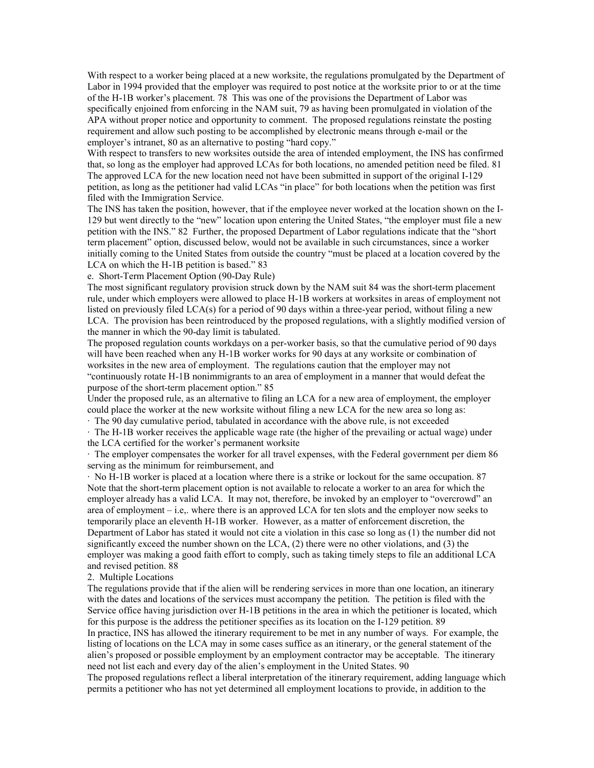With respect to a worker being placed at a new worksite, the regulations promulgated by the Department of Labor in 1994 provided that the employer was required to post notice at the worksite prior to or at the time of the H-1B worker's placement. 78 This was one of the provisions the Department of Labor was specifically enjoined from enforcing in the NAM suit, 79 as having been promulgated in violation of the APA without proper notice and opportunity to comment. The proposed regulations reinstate the posting requirement and allow such posting to be accomplished by electronic means through e-mail or the employer's intranet, 80 as an alternative to posting "hard copy."

With respect to transfers to new worksites outside the area of intended employment, the INS has confirmed that, so long as the employer had approved LCAs for both locations, no amended petition need be filed. 81 The approved LCA for the new location need not have been submitted in support of the original I-129 petition, as long as the petitioner had valid LCAs "in place" for both locations when the petition was first filed with the Immigration Service.

The INS has taken the position, however, that if the employee never worked at the location shown on the I-129 but went directly to the "new" location upon entering the United States, "the employer must file a new petition with the INS." 82 Further, the proposed Department of Labor regulations indicate that the "short term placement" option, discussed below, would not be available in such circumstances, since a worker initially coming to the United States from outside the country "must be placed at a location covered by the LCA on which the H-1B petition is based." 83

e. Short-Term Placement Option (90-Day Rule)

The most significant regulatory provision struck down by the NAM suit 84 was the short-term placement rule, under which employers were allowed to place H-1B workers at worksites in areas of employment not listed on previously filed LCA(s) for a period of 90 days within a three-year period, without filing a new LCA. The provision has been reintroduced by the proposed regulations, with a slightly modified version of the manner in which the 90-day limit is tabulated.

The proposed regulation counts workdays on a per-worker basis, so that the cumulative period of 90 days will have been reached when any H-1B worker works for 90 days at any worksite or combination of worksites in the new area of employment. The regulations caution that the employer may not "continuously rotate H-1B nonimmigrants to an area of employment in a manner that would defeat the purpose of the short-term placement option." 85

Under the proposed rule, as an alternative to filing an LCA for a new area of employment, the employer could place the worker at the new worksite without filing a new LCA for the new area so long as:

· The 90 day cumulative period, tabulated in accordance with the above rule, is not exceeded

· The H-1B worker receives the applicable wage rate (the higher of the prevailing or actual wage) under the LCA certified for the worker's permanent worksite

· The employer compensates the worker for all travel expenses, with the Federal government per diem 86 serving as the minimum for reimbursement, and

· No H-1B worker is placed at a location where there is a strike or lockout for the same occupation. 87 Note that the short-term placement option is not available to relocate a worker to an area for which the employer already has a valid LCA. It may not, therefore, be invoked by an employer to "overcrowd" an area of employment – i.e,. where there is an approved LCA for ten slots and the employer now seeks to temporarily place an eleventh H-1B worker. However, as a matter of enforcement discretion, the Department of Labor has stated it would not cite a violation in this case so long as (1) the number did not significantly exceed the number shown on the LCA, (2) there were no other violations, and (3) the employer was making a good faith effort to comply, such as taking timely steps to file an additional LCA and revised petition. 88

#### 2. Multiple Locations

The regulations provide that if the alien will be rendering services in more than one location, an itinerary with the dates and locations of the services must accompany the petition. The petition is filed with the Service office having jurisdiction over H-1B petitions in the area in which the petitioner is located, which for this purpose is the address the petitioner specifies as its location on the I-129 petition. 89

In practice, INS has allowed the itinerary requirement to be met in any number of ways. For example, the listing of locations on the LCA may in some cases suffice as an itinerary, or the general statement of the alien's proposed or possible employment by an employment contractor may be acceptable. The itinerary need not list each and every day of the alien's employment in the United States. 90

The proposed regulations reflect a liberal interpretation of the itinerary requirement, adding language which permits a petitioner who has not yet determined all employment locations to provide, in addition to the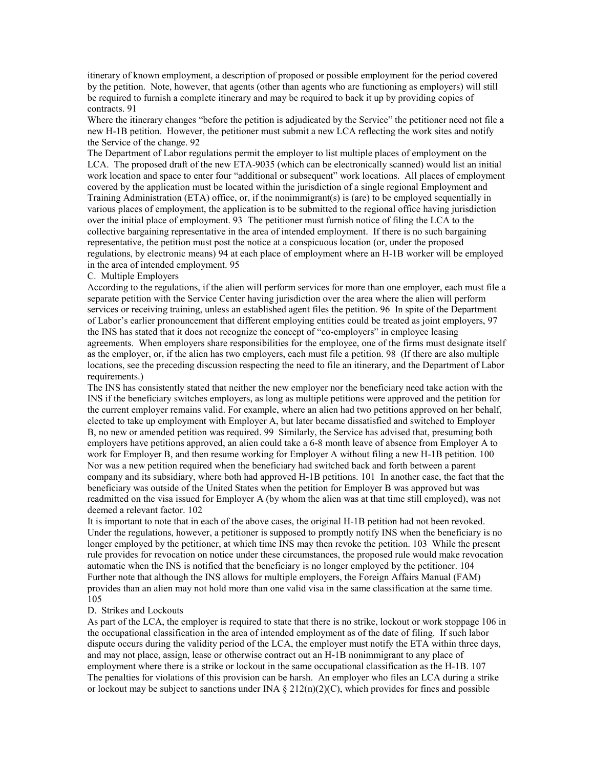itinerary of known employment, a description of proposed or possible employment for the period covered by the petition. Note, however, that agents (other than agents who are functioning as employers) will still be required to furnish a complete itinerary and may be required to back it up by providing copies of contracts. 91

Where the itinerary changes "before the petition is adjudicated by the Service" the petitioner need not file a new H-1B petition. However, the petitioner must submit a new LCA reflecting the work sites and notify the Service of the change. 92

The Department of Labor regulations permit the employer to list multiple places of employment on the LCA. The proposed draft of the new ETA-9035 (which can be electronically scanned) would list an initial work location and space to enter four "additional or subsequent" work locations. All places of employment covered by the application must be located within the jurisdiction of a single regional Employment and Training Administration (ETA) office, or, if the nonimmigrant(s) is (are) to be employed sequentially in various places of employment, the application is to be submitted to the regional office having jurisdiction over the initial place of employment. 93 The petitioner must furnish notice of filing the LCA to the collective bargaining representative in the area of intended employment. If there is no such bargaining representative, the petition must post the notice at a conspicuous location (or, under the proposed regulations, by electronic means) 94 at each place of employment where an H-1B worker will be employed in the area of intended employment. 95

## C. Multiple Employers

According to the regulations, if the alien will perform services for more than one employer, each must file a separate petition with the Service Center having jurisdiction over the area where the alien will perform services or receiving training, unless an established agent files the petition. 96 In spite of the Department of Labor's earlier pronouncement that different employing entities could be treated as joint employers, 97 the INS has stated that it does not recognize the concept of "co-employers" in employee leasing agreements. When employers share responsibilities for the employee, one of the firms must designate itself as the employer, or, if the alien has two employers, each must file a petition. 98 (If there are also multiple locations, see the preceding discussion respecting the need to file an itinerary, and the Department of Labor requirements.)

The INS has consistently stated that neither the new employer nor the beneficiary need take action with the INS if the beneficiary switches employers, as long as multiple petitions were approved and the petition for the current employer remains valid. For example, where an alien had two petitions approved on her behalf, elected to take up employment with Employer A, but later became dissatisfied and switched to Employer B, no new or amended petition was required. 99 Similarly, the Service has advised that, presuming both employers have petitions approved, an alien could take a 6-8 month leave of absence from Employer A to work for Employer B, and then resume working for Employer A without filing a new H-1B petition. 100 Nor was a new petition required when the beneficiary had switched back and forth between a parent company and its subsidiary, where both had approved H-1B petitions. 101 In another case, the fact that the beneficiary was outside of the United States when the petition for Employer B was approved but was readmitted on the visa issued for Employer A (by whom the alien was at that time still employed), was not deemed a relevant factor. 102

It is important to note that in each of the above cases, the original H-1B petition had not been revoked. Under the regulations, however, a petitioner is supposed to promptly notify INS when the beneficiary is no longer employed by the petitioner, at which time INS may then revoke the petition. 103 While the present rule provides for revocation on notice under these circumstances, the proposed rule would make revocation automatic when the INS is notified that the beneficiary is no longer employed by the petitioner. 104 Further note that although the INS allows for multiple employers, the Foreign Affairs Manual (FAM) provides than an alien may not hold more than one valid visa in the same classification at the same time. 105

#### D. Strikes and Lockouts

As part of the LCA, the employer is required to state that there is no strike, lockout or work stoppage 106 in the occupational classification in the area of intended employment as of the date of filing. If such labor dispute occurs during the validity period of the LCA, the employer must notify the ETA within three days, and may not place, assign, lease or otherwise contract out an H-1B nonimmigrant to any place of employment where there is a strike or lockout in the same occupational classification as the H-1B. 107 The penalties for violations of this provision can be harsh. An employer who files an LCA during a strike or lockout may be subject to sanctions under INA  $\S 212(n)(2)(C)$ , which provides for fines and possible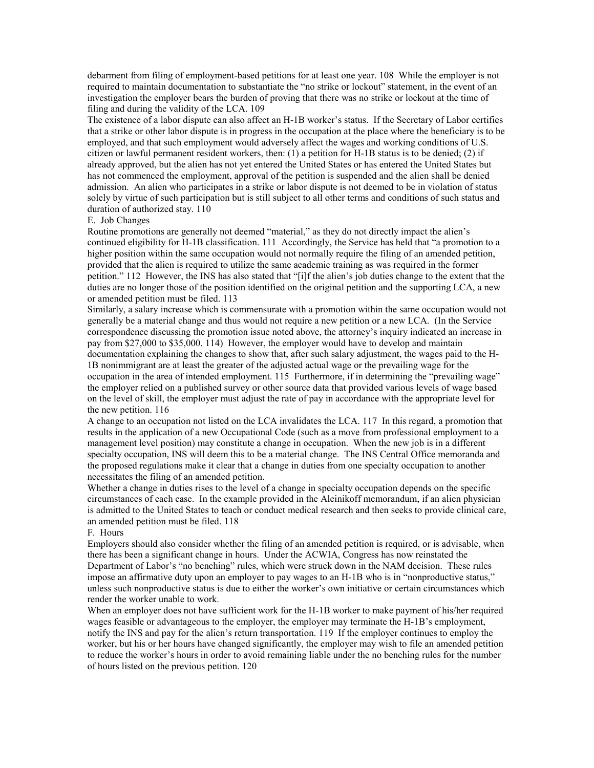debarment from filing of employment-based petitions for at least one year. 108 While the employer is not required to maintain documentation to substantiate the "no strike or lockout" statement, in the event of an investigation the employer bears the burden of proving that there was no strike or lockout at the time of filing and during the validity of the LCA. 109

The existence of a labor dispute can also affect an H-1B worker's status. If the Secretary of Labor certifies that a strike or other labor dispute is in progress in the occupation at the place where the beneficiary is to be employed, and that such employment would adversely affect the wages and working conditions of U.S. citizen or lawful permanent resident workers, then: (1) a petition for H-1B status is to be denied; (2) if already approved, but the alien has not yet entered the United States or has entered the United States but has not commenced the employment, approval of the petition is suspended and the alien shall be denied admission. An alien who participates in a strike or labor dispute is not deemed to be in violation of status solely by virtue of such participation but is still subject to all other terms and conditions of such status and duration of authorized stay. 110

#### E. Job Changes

Routine promotions are generally not deemed "material," as they do not directly impact the alien's continued eligibility for H-1B classification. 111 Accordingly, the Service has held that "a promotion to a higher position within the same occupation would not normally require the filing of an amended petition, provided that the alien is required to utilize the same academic training as was required in the former petition." 112 However, the INS has also stated that "[i]f the alien's job duties change to the extent that the duties are no longer those of the position identified on the original petition and the supporting LCA, a new or amended petition must be filed. 113

Similarly, a salary increase which is commensurate with a promotion within the same occupation would not generally be a material change and thus would not require a new petition or a new LCA. (In the Service correspondence discussing the promotion issue noted above, the attorney's inquiry indicated an increase in pay from \$27,000 to \$35,000. 114) However, the employer would have to develop and maintain documentation explaining the changes to show that, after such salary adjustment, the wages paid to the H-

1B nonimmigrant are at least the greater of the adjusted actual wage or the prevailing wage for the occupation in the area of intended employment. 115 Furthermore, if in determining the "prevailing wage" the employer relied on a published survey or other source data that provided various levels of wage based on the level of skill, the employer must adjust the rate of pay in accordance with the appropriate level for the new petition. 116

A change to an occupation not listed on the LCA invalidates the LCA. 117 In this regard, a promotion that results in the application of a new Occupational Code (such as a move from professional employment to a management level position) may constitute a change in occupation. When the new job is in a different specialty occupation, INS will deem this to be a material change. The INS Central Office memoranda and the proposed regulations make it clear that a change in duties from one specialty occupation to another necessitates the filing of an amended petition.

Whether a change in duties rises to the level of a change in specialty occupation depends on the specific circumstances of each case. In the example provided in the Aleinikoff memorandum, if an alien physician is admitted to the United States to teach or conduct medical research and then seeks to provide clinical care, an amended petition must be filed. 118

## F. Hours

Employers should also consider whether the filing of an amended petition is required, or is advisable, when there has been a significant change in hours. Under the ACWIA, Congress has now reinstated the Department of Labor's "no benching" rules, which were struck down in the NAM decision. These rules impose an affirmative duty upon an employer to pay wages to an H-1B who is in "nonproductive status," unless such nonproductive status is due to either the worker's own initiative or certain circumstances which render the worker unable to work.

When an employer does not have sufficient work for the H-1B worker to make payment of his/her required wages feasible or advantageous to the employer, the employer may terminate the H-1B's employment, notify the INS and pay for the alien's return transportation. 119 If the employer continues to employ the worker, but his or her hours have changed significantly, the employer may wish to file an amended petition to reduce the worker's hours in order to avoid remaining liable under the no benching rules for the number of hours listed on the previous petition. 120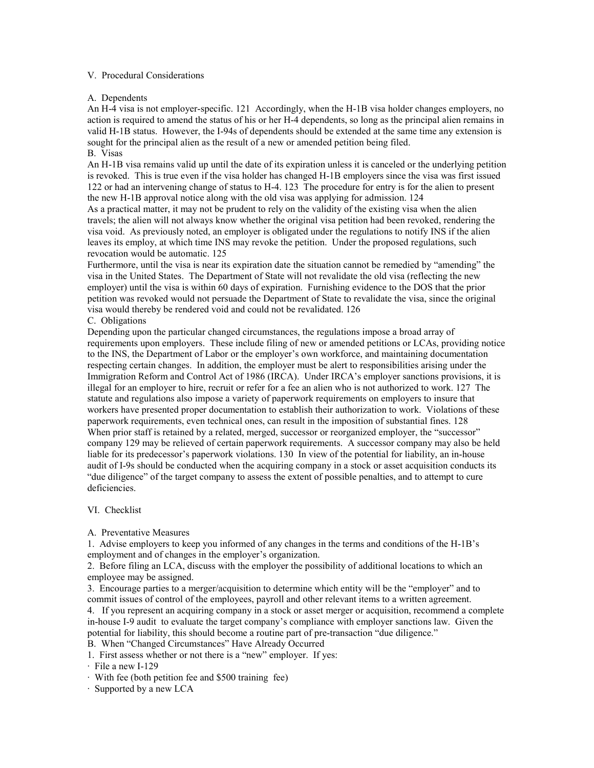## V. Procedural Considerations

# A. Dependents

An H-4 visa is not employer-specific. 121 Accordingly, when the H-1B visa holder changes employers, no action is required to amend the status of his or her H-4 dependents, so long as the principal alien remains in valid H-1B status. However, the I-94s of dependents should be extended at the same time any extension is sought for the principal alien as the result of a new or amended petition being filed. B. Visas

An H-1B visa remains valid up until the date of its expiration unless it is canceled or the underlying petition is revoked. This is true even if the visa holder has changed H-1B employers since the visa was first issued 122 or had an intervening change of status to H-4. 123 The procedure for entry is for the alien to present the new H-1B approval notice along with the old visa was applying for admission. 124 As a practical matter, it may not be prudent to rely on the validity of the existing visa when the alien travels; the alien will not always know whether the original visa petition had been revoked, rendering the visa void. As previously noted, an employer is obligated under the regulations to notify INS if the alien leaves its employ, at which time INS may revoke the petition. Under the proposed regulations, such

## revocation would be automatic. 125

Furthermore, until the visa is near its expiration date the situation cannot be remedied by "amending" the visa in the United States. The Department of State will not revalidate the old visa (reflecting the new employer) until the visa is within 60 days of expiration. Furnishing evidence to the DOS that the prior petition was revoked would not persuade the Department of State to revalidate the visa, since the original visa would thereby be rendered void and could not be revalidated. 126

C. Obligations

Depending upon the particular changed circumstances, the regulations impose a broad array of requirements upon employers. These include filing of new or amended petitions or LCAs, providing notice to the INS, the Department of Labor or the employer's own workforce, and maintaining documentation respecting certain changes. In addition, the employer must be alert to responsibilities arising under the Immigration Reform and Control Act of 1986 (IRCA). Under IRCA's employer sanctions provisions, it is illegal for an employer to hire, recruit or refer for a fee an alien who is not authorized to work. 127 The statute and regulations also impose a variety of paperwork requirements on employers to insure that workers have presented proper documentation to establish their authorization to work. Violations of these paperwork requirements, even technical ones, can result in the imposition of substantial fines. 128 When prior staff is retained by a related, merged, successor or reorganized employer, the "successor" company 129 may be relieved of certain paperwork requirements. A successor company may also be held liable for its predecessor's paperwork violations. 130 In view of the potential for liability, an in-house audit of I-9s should be conducted when the acquiring company in a stock or asset acquisition conducts its "due diligence" of the target company to assess the extent of possible penalties, and to attempt to cure deficiencies.

## VI. Checklist

A. Preventative Measures

1. Advise employers to keep you informed of any changes in the terms and conditions of the H-1B's employment and of changes in the employer's organization.

2. Before filing an LCA, discuss with the employer the possibility of additional locations to which an employee may be assigned.

3. Encourage parties to a merger/acquisition to determine which entity will be the "employer" and to commit issues of control of the employees, payroll and other relevant items to a written agreement.

4. If you represent an acquiring company in a stock or asset merger or acquisition, recommend a complete in-house I-9 audit to evaluate the target company's compliance with employer sanctions law. Given the potential for liability, this should become a routine part of pre-transaction "due diligence."

B. When "Changed Circumstances" Have Already Occurred

1. First assess whether or not there is a "new" employer. If yes:

<sup>·</sup> File a new I-129

<sup>·</sup> With fee (both petition fee and \$500 training fee)

<sup>·</sup> Supported by a new LCA